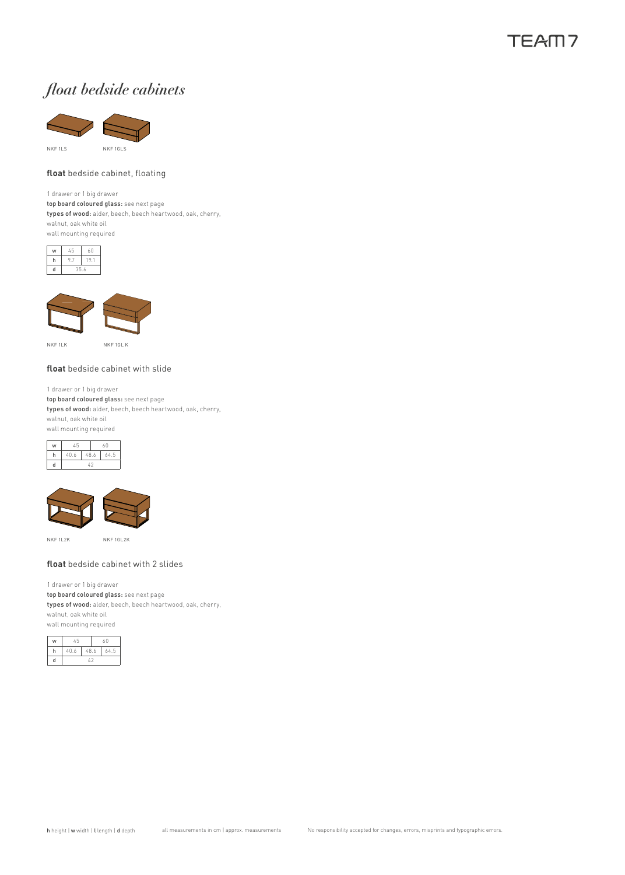### TFAM7

# *float bedside cabinets*



#### **float** bedside cabinet, floating

1 drawer or 1 big drawer top board coloured glass: see next page types of wood: alder, beech, beech heartwood, oak, cherry, walnut, oak white oil wall mounting required





NKF 1LK

NKF 1GL

#### **float** bedside cabinet with slide

1 drawer or 1 big drawer top board coloured glass: see next page types of wood: alder, beech, beech heartwood, oak, cherry, walnut, oak white oil wall mounting required





NKF 1L2K NKF 1GL2K

#### **float** bedside cabinet with 2 slides

1 drawer or 1 big drawer top board coloured glass: see next page types of wood: alder, beech, beech heartwood, oak, cherry, walnut, oak white oil wall mounting required

| w | 45            |      | 60 |     |
|---|---------------|------|----|-----|
|   | 40.6          | 48.6 |    | 645 |
| Ч | $\mathcal{L}$ |      |    |     |